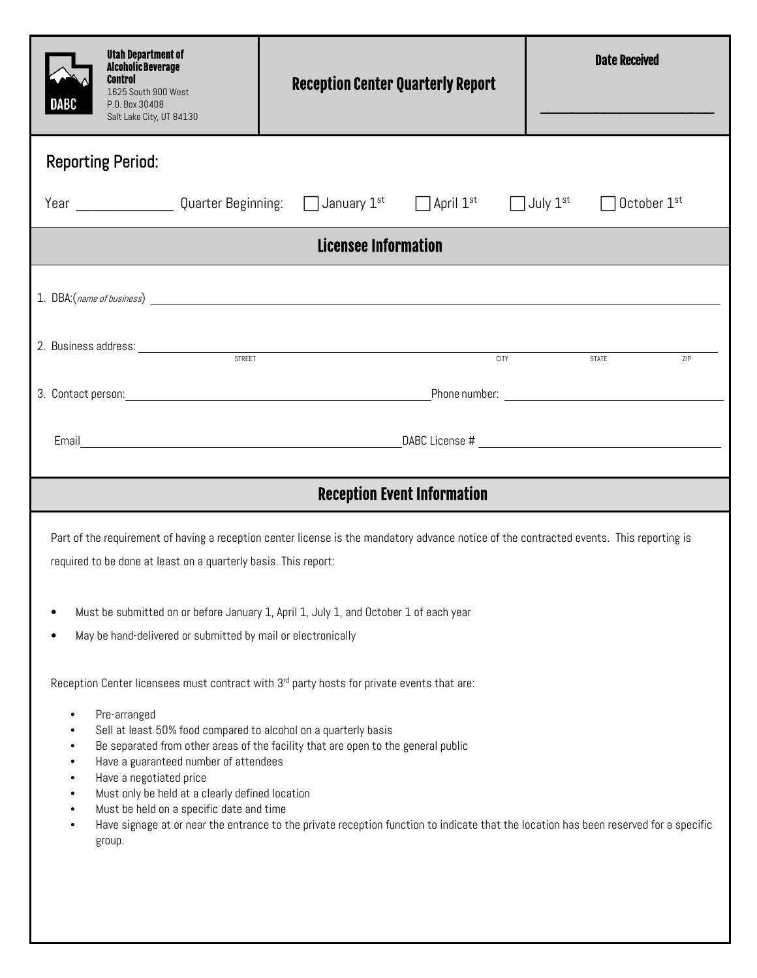|                                                                                                                                                                                                                                                                     | <b>Utah Department of</b><br><b>Alcoholic Beverage</b><br><b>Control</b><br>1625 South 900 West<br>P.O. Box 30408<br>Salt Lake City, UT 84130 | <b>Reception Center Quarterly Report</b> | <b>Date Received</b> |  |
|---------------------------------------------------------------------------------------------------------------------------------------------------------------------------------------------------------------------------------------------------------------------|-----------------------------------------------------------------------------------------------------------------------------------------------|------------------------------------------|----------------------|--|
| <b>Reporting Period:</b>                                                                                                                                                                                                                                            |                                                                                                                                               |                                          |                      |  |
| Year _______________Quarter Beginning: □ January 1 <sup>st</sup><br>$\Box$ April $1^{\rm st}$ $\Box$ July $1^{\rm st}$<br>$\Box$ October 1st                                                                                                                        |                                                                                                                                               |                                          |                      |  |
| Licensee Information                                                                                                                                                                                                                                                |                                                                                                                                               |                                          |                      |  |
|                                                                                                                                                                                                                                                                     |                                                                                                                                               |                                          |                      |  |
|                                                                                                                                                                                                                                                                     |                                                                                                                                               |                                          |                      |  |
| 2. Business address: <u>example and street and street and street and street and street and street and street and street and street and street and street and street and street and street and street and street and street and s</u><br><b>CITY</b><br>STATE<br>ZIP |                                                                                                                                               |                                          |                      |  |
|                                                                                                                                                                                                                                                                     |                                                                                                                                               |                                          |                      |  |
|                                                                                                                                                                                                                                                                     |                                                                                                                                               |                                          |                      |  |
|                                                                                                                                                                                                                                                                     |                                                                                                                                               |                                          |                      |  |
| <b>Reception Event Information</b>                                                                                                                                                                                                                                  |                                                                                                                                               |                                          |                      |  |
| Part of the requirement of having a reception center license is the mandatory advance notice of the contracted events. This reporting is                                                                                                                            |                                                                                                                                               |                                          |                      |  |
| required to be done at least on a quarterly basis. This report:                                                                                                                                                                                                     |                                                                                                                                               |                                          |                      |  |
| Must be submitted on or before January 1, April 1, July 1, and October 1 of each year                                                                                                                                                                               |                                                                                                                                               |                                          |                      |  |
| May be hand-delivered or submitted by mail or electronically                                                                                                                                                                                                        |                                                                                                                                               |                                          |                      |  |
|                                                                                                                                                                                                                                                                     |                                                                                                                                               |                                          |                      |  |
| Reception Center licensees must contract with 3 <sup>rd</sup> party hosts for private events that are:                                                                                                                                                              |                                                                                                                                               |                                          |                      |  |
| Pre-arranged<br>٠<br>Sell at least 50% food compared to alcohol on a quarterly basis<br>Be separated from other areas of the facility that are open to the general public                                                                                           |                                                                                                                                               |                                          |                      |  |
| Have a guaranteed number of attendees<br>Have a negotiated price                                                                                                                                                                                                    |                                                                                                                                               |                                          |                      |  |
| Must only be held at a clearly defined location<br>Must be held on a specific date and time                                                                                                                                                                         |                                                                                                                                               |                                          |                      |  |
| Have signage at or near the entrance to the private reception function to indicate that the location has been reserved for a specific<br>$\bullet$<br>group.                                                                                                        |                                                                                                                                               |                                          |                      |  |
|                                                                                                                                                                                                                                                                     |                                                                                                                                               |                                          |                      |  |
|                                                                                                                                                                                                                                                                     |                                                                                                                                               |                                          |                      |  |